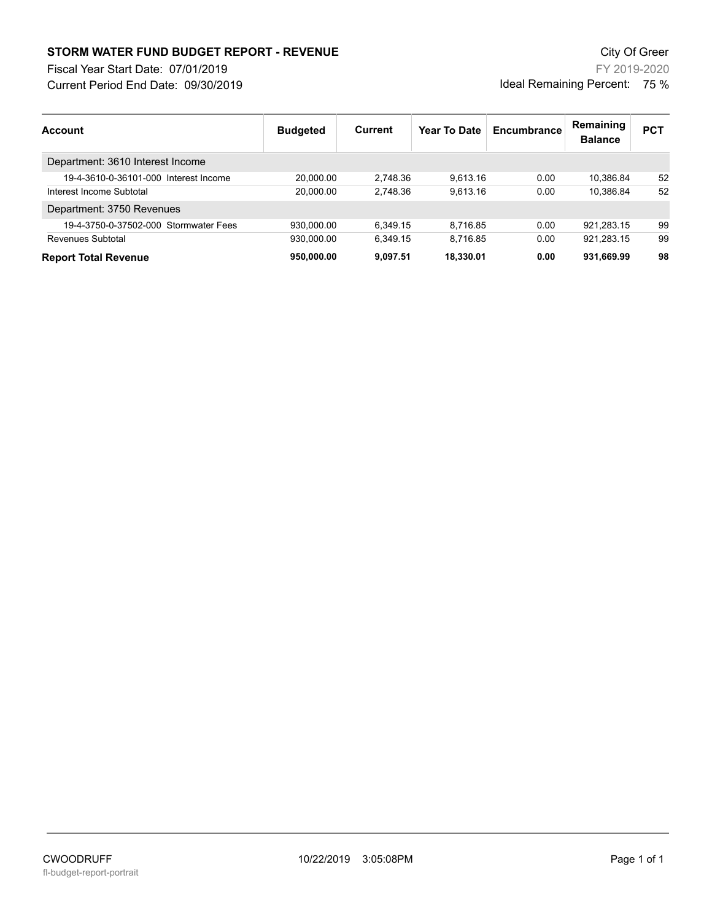## **STORM WATER FUND BUDGET REPORT - REVENUE City Of Greer** City Of Greer

Fiscal Year Start Date: 07/01/2019

Current Period End Date: 09/30/2019

FY 2019-2020 Ideal Remaining Percent: 75 %

| <b>Account</b>                        | <b>Budgeted</b> | Current  | <b>Year To Date</b> | Encumbrance | Remaining<br><b>Balance</b> | <b>PCT</b> |
|---------------------------------------|-----------------|----------|---------------------|-------------|-----------------------------|------------|
| Department: 3610 Interest Income      |                 |          |                     |             |                             |            |
| 19-4-3610-0-36101-000 Interest Income | 20.000.00       | 2.748.36 | 9.613.16            | 0.00        | 10.386.84                   | 52         |
| Interest Income Subtotal              | 20.000.00       | 2.748.36 | 9.613.16            | 0.00        | 10.386.84                   | 52         |
| Department: 3750 Revenues             |                 |          |                     |             |                             |            |
| 19-4-3750-0-37502-000 Stormwater Fees | 930.000.00      | 6.349.15 | 8.716.85            | 0.00        | 921.283.15                  | 99         |
| Revenues Subtotal                     | 930.000.00      | 6.349.15 | 8.716.85            | 0.00        | 921.283.15                  | 99         |
| <b>Report Total Revenue</b>           | 950.000.00      | 9.097.51 | 18.330.01           | 0.00        | 931.669.99                  | 98         |